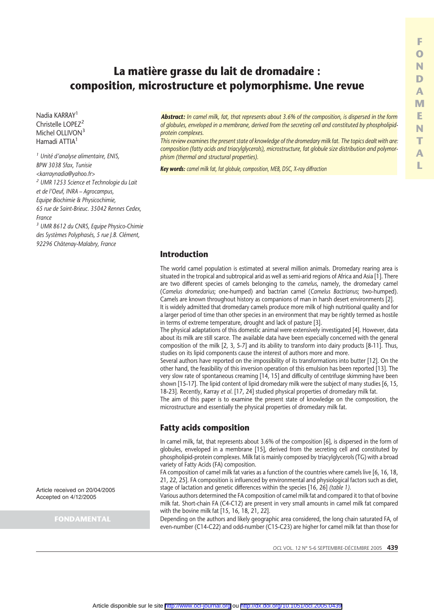# **La matière grasse du lait de dromadaire : composition, microstructure et polymorphisme. Une revue**

Nadia KARRAY<sup>1</sup> Christelle LOPE<sub>72</sub> Michel OLLIVON<sup>3</sup> Hamadi ATTIA<sup>1</sup>

*<sup>1</sup> Unité d'analyse alimentaire, ENIS, BPW 3038 Sfax, Tunisie <karraynadia@yahoo.fr> <sup>2</sup> UMR 1253 Science et Technologie du Lait et de l'Oeuf, INRA – Agrocampus, Equipe Biochimie & Physicochimie, 65 rue de Saint-Brieuc. 35042 Rennes Cedex, France*

*<sup>3</sup> UMR 8612 du CNRS, Equipe Physico-Chimie des Systèmes Polyphasés, 5 rue J.B. Clément, 92296 Châtenay-Malabry, France*

Article received on 20/04/2005 Accepted on 4/12/2005

**FONDAMENTAL**

*Abstract: In camel milk, fat, that represents about 3.6% of the composition, is dispersed in the form of globules, enveloped in a membrane, derived from the secreting cell and constituted by phospholipidprotein complexes.*

*This review examines the present state of knowledge of the dromedary milk fat. The topics dealt with are: composition (fatty acids and triacylglycerols), microstructure, fat globule size distribution and polymorphism (thermal and structural properties).*

*Key words: camel milk fat, fat globule, composition, MEB, DSC, X-ray diffraction*

### **Introduction**

The world camel population is estimated at several million animals. Dromedary rearing area is situated in the tropical and subtropical arid as well as semi-arid regions of Africa and Asia [1]. There are two different species of camels belonging to the *camelus*, namely, the dromedary camel (*Camelus dromedarius*; one-humped) and bactrian camel (*Camelus Bactrianus*; two-humped). Camels are known throughout history as companions of man in harsh desert environments [2].

It is widely admitted that dromedary camels produce more milk of high nutritional quality and for a larger period of time than other species in an environment that may be rightly termed as hostile in terms of extreme temperature, drought and lack of pasture [3].

The physical adaptations of this domestic animal were extensively investigated [4]. However, data about its milk are still scarce. The available data have been especially concerned with the general composition of the milk [2, 3, 5-7] and its ability to transform into dairy products [8-11]. Thus, studies on its lipid components cause the interest of authors more and more.

Several authors have reported on the impossibility of its transformations into butter [12]. On the other hand, the feasibility of this inversion operation of this emulsion has been reported [13]. The very slow rate of spontaneous creaming [14, 15] and difficulty of centrifuge skimming have been shown [15-17]. The lipid content of lipid dromedary milk were the subject of many studies [6, 15, 18-23]. Recently, Karray *et al*. [17, 24] studied physical properties of dromedary milk fat.

The aim of this paper is to examine the present state of knowledge on the composition, the microstructure and essentially the physical properties of dromedary milk fat.

### **Fatty acids composition**

In camel milk, fat, that represents about 3.6% of the composition [6], is dispersed in the form of globules, enveloped in a membrane [15], derived from the secreting cell and constituted by phospholipid-protein complexes. Milk fat is mainly composed by triacylglycerols (TG) with a broad variety of Fatty Acids (FA) composition.

FA composition of camel milk fat varies as a function of the countries where camels live [6, 16, 18, 21, 22, 25]. FA composition is influenced by environmental and physiological factors such as diet, stage of lactation and genetic differences within the species [16, 26] *(table 1)*.

Various authors determined the FA composition of camel milk fat and compared it to that of bovine milk fat. Short-chain FA (C4-C12) are present in very small amounts in camel milk fat compared with the bovine milk fat [15, 16, 18, 21, 22].

Depending on the authors and likely geographic area considered, the long chain saturated FA, of even-number (C14-C22) and odd-number (C15-C23) are higher for camel milk fat than those for

*OCL* VOL. 12 N° 5-6 SEPTEMBRE-DE´CEMBRE 2005 **439**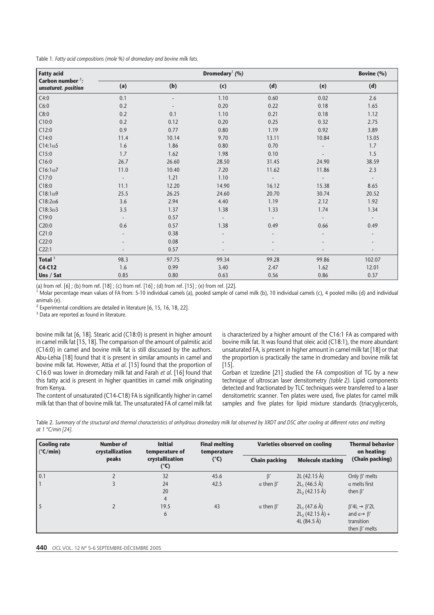Table 1*. Fatty acid compositions (mole %) of dromedary and bovine milk fats.*

| <b>Fatty acid</b>                          |                          | Bovine (%) |       |       |       |                          |
|--------------------------------------------|--------------------------|------------|-------|-------|-------|--------------------------|
| Carbon number $2$ :<br>unsaturat. position | (a)                      | (b)        | (c)   | (d)   | (e)   | (d)                      |
| $\vert$ C4:0                               | 0.1                      |            | 1.10  | 0.60  | 0.02  | 2.6                      |
| C6:0                                       | 0.2                      |            | 0.20  | 0.22  | 0.18  | 1.65                     |
| $\vert$ C8:0                               | 0.2                      | 0.1        | 1.10  | 0.21  | 0.18  | 1.12                     |
| CI0:0                                      | 0.2                      | 0.12       | 0.20  | 0.25  | 0.32  | 2.75                     |
| CI2:0                                      | 0.9                      | 0.77       | 0.80  | 1.19  | 0.92  | 3.89                     |
| CI4:0                                      | 11.4                     | 10.14      | 9.70  | 13.11 | 10.84 | 13.05                    |
| CI4:1 <sub>ω</sub> 5                       | 1.6                      | 1.86       | 0.80  | 0.70  |       | 1.7                      |
| CI5:0                                      | 1.7                      | 1.62       | 1.98  | 0.10  |       | 1.5                      |
| CI6:0                                      | 26.7                     | 26.60      | 28.50 | 31.45 | 24.90 | 38.59                    |
| CI6:1 <sub>00</sub> 7                      | 11.0                     | 10.40      | 7.20  | 11.62 | 11.86 | 2.3                      |
| CI7:0                                      | $\overline{\phantom{a}}$ | 1.21       | 1.10  |       |       | $\overline{\phantom{a}}$ |
| CI8:0                                      | 11.1                     | 12.20      | 14.90 | 16.12 | 15.38 | 8.65                     |
| CI8:1 <sub>0</sub> 9                       | 25.5                     | 26.25      | 24.60 | 20.70 | 30.74 | 20.52                    |
| $\vert$ C18:2 $\omega$ 6                   | 3.6                      | 2.94       | 4.40  | 1.19  | 2.12  | 1.92                     |
| CI8:3 <sub>0</sub> 3                       | 3.5                      | 1.37       | 1.38  | 1.33  | 1.74  | 1.34                     |
| CI9:0                                      |                          | 0.57       |       |       |       |                          |
| C20:0                                      | 0.6                      | 0.57       | 1.38  | 0.49  | 0.66  | 0.49                     |
| C21:0                                      |                          | 0.38       |       |       |       |                          |
| C22:0                                      |                          | 0.08       |       |       |       |                          |
| C22:1                                      |                          | 0.57       |       |       |       | $\overline{\phantom{a}}$ |
| Total $3$                                  | 98.3                     | 97.75      | 99.34 | 99.28 | 99.86 | 102.07                   |
| $C4-C12$                                   | 1.6                      | 0.99       | 3.40  | 2.47  | 1.62  | 12.01                    |
| Uns / Sat                                  | 0.85                     | 0.80       | 0.63  | 0.56  | 0.86  | 0.37                     |

(a) from ref.  $[6]$ ; (b) from ref.  $[18]$ ; (c) from ref.  $[16]$ ; (d) from ref.  $[15]$ ; (e) from ref.  $[22]$ .

Molar percentage mean values of FA from: 5-10 individual camels (a), pooled sample of camel milk (b), 10 individual camels (c), 4 pooled milks (d) and individual animals (e).

<sup>2</sup> Experimental conditions are detailed in literature [6, 15, 16, 18, 22].

<sup>3</sup> Data are reported as found in literature.

bovine milk fat [6, 18]. Stearic acid (C18:0) is present in higher amount in camel milk fat [15, 18]. The comparison of the amount of palmitic acid (C16:0) in camel and bovine milk fat is still discussed by the authors. Abu-Lehia [18] found that it is present in similar amounts in camel and bovine milk fat. However, Attia *et al*. [15] found that the proportion of C16:0 was lower in dromedary milk fat and Farah *et al*. [16] found that this fatty acid is present in higher quantities in camel milk originating from Kenya.

The content of unsaturated (C14-C18) FA is significantly higher in camel milk fat than that of bovine milk fat. The unsaturated FA of camel milk fat is characterized by a higher amount of the C16:1 FA as compared with bovine milk fat. It was found that oleic acid (C18:1), the more abundant unsaturated FA, is present in higher amount in camel milk fat [18] or that the proportion is practically the same in dromedary and bovine milk fat [15].

Gorban et Izzedine [21] studied the FA composition of TG by a new technique of ultroscan laser densitometry *(table 2)*. Lipid components detected and fractionated by TLC techniques were transferred to a laser densitometric scanner. Ten plates were used, five plates for camel milk samples and five plates for lipid mixture standards (triacyglycerols,

Table 2*. Summary of the structural and thermal characteristics of anhydrous dromedary milk fat observed by XRDT and DSC after cooling at different rates and melting at 1 °C/min [24].*

| <b>Cooling rate</b><br>$(^{\circ}C/min)$ | <b>Number of</b><br>crystallization | <b>Initial</b><br>temperature of<br>crystallization<br>$(^{\circ}C)$ | <b>Final melting</b><br>temperature<br>(°C) | Varieties observed on cooling |                                                      | <b>Thermal behavior</b><br>on heating:                                                                      |
|------------------------------------------|-------------------------------------|----------------------------------------------------------------------|---------------------------------------------|-------------------------------|------------------------------------------------------|-------------------------------------------------------------------------------------------------------------|
|                                          | peaks                               |                                                                      |                                             | <b>Chain packing</b>          | <b>Molecule stacking</b>                             | (Chain packing)                                                                                             |
| 0.1                                      |                                     | 32                                                                   | 45.6                                        | $\beta'$                      | 2L (42.15 Å)                                         | Only $\beta'$ melts                                                                                         |
|                                          |                                     | 24<br>20<br>$\overline{4}$                                           | 42.5                                        | $\alpha$ then $\beta'$        | $2L_1$ (46.5 Å)<br>$2L_2(42.15 \text{ Å})$           | $\alpha$ melts first<br>then $\beta'$                                                                       |
| 5                                        |                                     | 19.5<br>6                                                            | 43                                          | $\alpha$ then $\beta'$        | $2L_1$ (47.6 Å)<br>$2L_2$ (42.15 Å) +<br>4L (84.5 Å) | $\beta'$ 4L $\rightarrow \beta'$ 2L<br>and $\alpha \rightarrow \beta'$<br>transition<br>then $\beta'$ melts |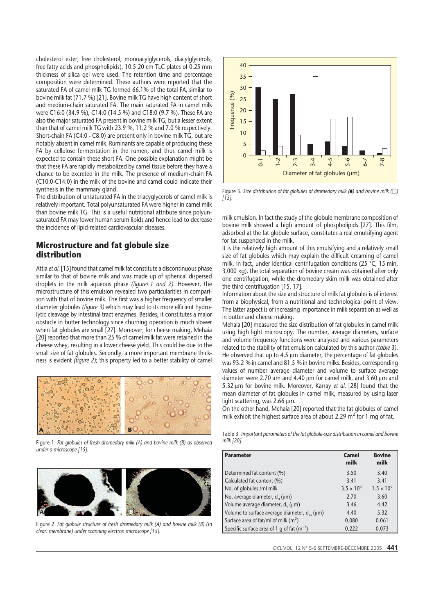cholesterol ester, free cholesterol, monoacylglycerols, diacylglycerols, free fatty acids and phospholipids). 10.5 20 cm TLC plates of 0.25 mm thickness of silica gel were used. The retention time and percentage composition were determined. These authors were reported that the saturated FA of camel milk TG formed 66.1% of the total FA, similar to bovine milk fat (71.7 %) [21]. Bovine milk TG have high content of short and medium-chain saturated FA. The main saturated FA in camel milk were C16:0 (34.9 %), C14:0 (14.5 %) and C18:0 (9.7 %). These FA are also the major saturated FA present in bovine milk TG, but a lesser extent than that of camel milk TG with 23.9 %, 11.2 % and 7.0 % respectively. Short-chain FA (C4:0 - C8:0) are present only in bovine milk TG, but are notably absent in camel milk. Ruminants are capable of producing these FA by cellulose fermentation in the rumen, and thus camel milk is expected to contain these short FA. One possible explanation might be that these FA are rapidly metabolized by camel tissue before they have a chance to be excreted in the milk. The presence of medium-chain FA (C10:0-C14:0) in the milk of the bovine and camel could indicate their synthesis in the mammary gland.

The distribution of unsaturated FA in the triacyglycerols of camel milk is relatively important. Total polyunsaturated FA were higher in camel milk than bovine milk TG. This is a useful nutritional attribute since polyunsaturated FA may lower human serum lipids and hence lead to decrease the incidence of lipid-related cardiovascular diseases.

#### **Microstructure and fat globule size distribution**

Attia *et al*. [15] found that camel milk fat constitute a discontinuous phase similar to that of bovine milk and was made up of spherical dispersed droplets in the milk aqueous phase *(figures 1 and 2)*. However, the microstructure of this emulsion revealed two particularities in comparison with that of bovine milk. The first was a higher frequency of smaller diameter globules *(figure 3)* which may lead to its more efficient hydrolytic cleavage by intestinal tract enzymes. Besides, it constitutes a major obstacle in butter technology since churning operation is much slower when fat globules are small [27]. Moreover, for cheese making, Mehaia [20] reported that more than 25 % of camel milk fat were retained in the cheese whey, resulting in a lower cheese yield. This could be due to the small size of fat globules. Secondly, a more important membrane thickness is evident *(figure 2)*; this property led to a better stability of camel



Figure 1. *Fat globules of fresh dromedary milk (A) and bovine milk (B) as observed under a microscope [15].*



Figure 2. *Fat globule structure of fresh dromedary milk (A) and bovine milk (B) (In clear: membrane) under scanning electron microscope [15].*



Figure 3. Size distribution of fat globules of dromedary milk ( $\blacksquare$ ) and bovine milk  $\square$ ) *[15].*

milk emulsion. In fact the study of the globule membrane composition of bovine milk showed a high amount of phospholipids [27]. This film, adsorbed at the fat globule surface, constitutes a real emulsifying agent for fat suspended in the milk.

It is the relatively high amount of this emulsifying and a relatively small size of fat globules which may explain the difficult creaming of camel milk. In fact, under identical centrifugation conditions (25 °C, 15 min, 3,000 ×g), the total separation of bovine cream was obtained after only one centrifugation, while the dromedary skim milk was obtained after the third centrifugation [15, 17].

Information about the size and structure of milk fat globules is of interest from a biophysical, from a nutritional and technological point of view. The latter aspect is of increasing importance in milk separation as well as in butter and cheese making.

Mehaia [20] measured the size distribution of fat globules in camel milk using high light microscopy. The number, average diameters, surface and volume frequency functions were analysed and various parameters related to the stability of fat emulsion calculated by this author *(table 3)*. He observed that up to 4.5  $\mu$ m diameter, the percentage of fat globules was 93.2 % in camel and 81.5 % in bovine milks. Besides, corresponding values of number average diameter and volume to surface average diameter were 2.70  $\mu$ m and 4.40  $\mu$ m for camel milk, and 3.60  $\mu$ m and 5.32 µm for bovine milk. Moreover, Karray *et al*. [28] found that the mean diameter of fat globules in camel milk, measured by using laser light scattering, was  $2.66 \mu m$ .

On the other hand, Mehaia [20] reported that the fat globules of camel milk exhibit the highest surface area of about 2.29  $m<sup>2</sup>$  for 1 mg of fat,

Table 3*. Important parameters of the fat globule-size distribution in camel and bovine milk [20].*

| <b>Parameter</b>                                    | Camel<br>milk       | <b>Bovine</b><br>milk |
|-----------------------------------------------------|---------------------|-----------------------|
| Determined fat content (%)                          | 3.50                | 3.40                  |
| Calculated fat content (%)                          | 3.41                | 3.41                  |
| No. of globules /ml milk                            | $3.5 \times 10^{9}$ | $1.5 \times 10^{9}$   |
| No. average diameter, $d_n(\mu m)$                  | 2.70                | 3.60                  |
| Volume average diameter, d <sub>y</sub> (µm)        | 3.46                | 4.42                  |
| Volume to surface average diameter, $d_{vs}(\mu m)$ | 4.40                | 5.32                  |
| Surface area of fat/ml of milk $(m^2)$              | 0.080               | 0.061                 |
| Specific surface area of 1 g of fat $(m^{-1})$      | 0.222               | 0.073                 |

*OCL* VOL. 12 N° 5-6 SEPTEMBRE-DE´CEMBRE 2005 **441**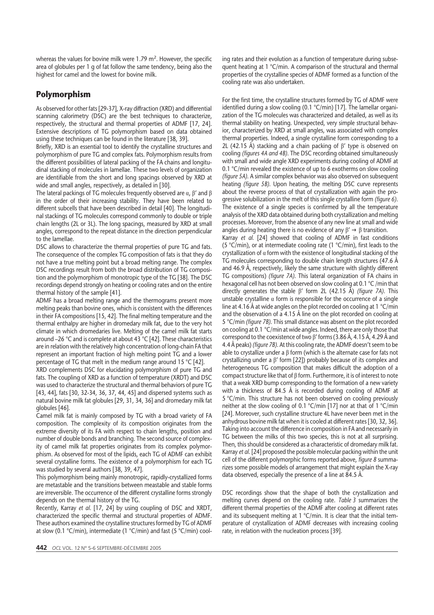whereas the values for bovine milk were 1.79 m<sup>2</sup>. However, the specific area of globules per 1 g of fat follow the same tendency, being also the highest for camel and the lowest for bovine milk.

## **Polymorphism**

As observed for other fats [29-37], X-ray diffraction (XRD) and differential scanning calorimetry (DSC) are the best techniques to characterize, respectively, the structural and thermal properties of ADMF [17, 24]. Extensive descriptions of TG polymorphism based on data obtained using these techniques can be found in the literature [38, 39].

Briefly, XRD is an essential tool to identify the crystalline structures and polymorphism of pure TG and complex fats. Polymorphism results from the different possibilities of lateral packing of the FA chains and longitudinal stacking of molecules in lamellae. These two levels of organization are identifiable from the short and long spacings observed by XRD at wide and small angles, respectively, as detailed in [30].

The lateral packings of TG molecules frequently observed are  $\alpha$ ,  $\beta'$  and  $\beta$ in the order of their increasing stability. They have been related to different subcells that have been described in detail [40]. The longitudinal stackings of TG molecules correspond commonly to double or triple chain lengths (2L or 3L). The long spacings, measured by XRD at small angles, correspond to the repeat distance in the direction perpendicular to the lamellae.

DSC allows to characterize the thermal properties of pure TG and fats. The consequence of the complex TG composition of fats is that they do not have a true melting point but a broad melting range. The complex DSC recordings result from both the broad distribution of TG composition and the polymorphism of monotropic type of the TG [38]. The DSC recordings depend strongly on heating or cooling rates and on the entire thermal history of the sample [41].

ADMF has a broad melting range and the thermograms present more melting peaks than bovine ones, which is consistent with the differences in their FA compositions [15, 42]. The final melting temperature and the thermal enthalpy are higher in dromedary milk fat, due to the very hot climate in which dromedaries live. Melting of the camel milk fat starts around –26 °C and is complete at about 43 °C [42]. These characteristics are in relation with the relatively high concentration of long-chain FA that represent an important fraction of high melting point TG and a lower percentage of TG that melt in the medium range around 15 °C [42].

XRD complements DSC for elucidating polymorphism of pure TG and fats. The coupling of XRD as a function of temperature (XRDT) and DSC was used to characterize the structural and thermal behaviors of pure TG [43, 44], fats [30, 32-34, 36, 37, 44, 45] and dispersed systems such as natural bovine milk fat globules [29, 31, 34, 36] and dromedary milk fat globules [46].

Camel milk fat is mainly composed by TG with a broad variety of FA composition. The complexity of its composition originates from the extreme diversity of its FA with respect to chain lengths, position and number of double bonds and branching. The second source of complexity of camel milk fat properties originates from its complex polymorphism. As observed for most of the lipids, each TG of ADMF can exhibit several crystalline forms. The existence of a polymorphism for each TG was studied by several authors [38, 39, 47].

This polymorphism being mainly monotropic, rapidly-crystallized forms are metastable and the transitions between meastable and stable forms are irreversible. The occurrence of the different crystalline forms strongly depends on the thermal history of the TG.

Recently, Karray *et al*. [17, 24] by using coupling of DSC and XRDT, characterized the specific thermal and structural properties of ADMF. These authors examined the crystalline structures formed by TG of ADMF at slow (0.1 °C/min), intermediate (1 °C/min) and fast (5 °C/min) cooling rates and their evolution as a function of temperature during subsequent heating at 1 °C/min. A comparison of the structural and thermal properties of the crystalline species of ADMF formed as a function of the cooling rate was also undertaken.

For the first time, the crystalline structures formed by TG of ADMF were identified during a slow cooling (0.1 °C/min) [17]. The lamellar organization of the TG molecules was characterized and detailed, as well as its thermal stability on heating. Unexpected, very simple structural behavior, characterized by XRD at small angles, was associated with complex thermal properties. Indeed, a single crystalline form corresponding to a 2L (42.15 Å) stacking and a chain packing of  $\beta'$  type is observed on cooling *(figures 4A and 4B)*. The DSC recording obtained simultaneously with small and wide angle XRD experiments during cooling of ADMF at 0.1 °C/min revealed the existence of up to 6 exotherms on slow cooling *(figure 5A)*. A similar complex behavior was also observed on subsequent heating *(figure 5B)*. Upon heating, the melting DSC curve represents about the reverse process of that of crystallization with again the progressive solubilization in the melt of this single crystalline form *(figure 6)*. The existence of a single species is confirmed by all the temperature analysis of the XRD data obtained during both crystallization and melting processes. Moreover, from the absence of any new line at small and wide angles during heating there is no evidence of any  $\beta' \rightarrow \beta$  transition.

Karray *et al.* [24] showed that cooling of ADMF in fast conditions (5 °C/min), or at intermediate cooling rate (1 °C/min), first leads to the crystallization of  $\alpha$  form with the existence of longitudinal stacking of the TG molecules corresponding to double chain length structures (47.6 Å and 46.9 Å, respectively, likely the same structure with slightly different TG compositions) *(figure 7A)*. This lateral organization of FA chains in hexagonal cell has not been observed on slow cooling at 0.1 °C /min that directly generates the stable b' form 2L (42.15 Å) *(figure 7A)*. This unstable crystalline  $\alpha$  form is responsible for the occurrence of a single line at 4.16 Å at wide angles on the plot recorded on cooling at 1 °C/min and the observation of a 4.15 Å line on the plot recorded on cooling at 5 °C/min *(figure 7B)*. This small distance was absent on the plot recorded on cooling at 0.1 °C/min at wide angles. Indeed, there are only those that correspond to the coexistence of two  $\beta'$  forms (3.86 A, 4.15 A, 4.29 A and 4.4 Å peaks) *(figure 7B)*. At this cooling rate, the ADMF doesn't seem to be able to crystallize under a  $\beta$  form (which is the alternate case for fats not crystallizing under a  $\beta'$  form [22]) probably because of its complex and heterogeneous TG composition that makes difficult the adoption of a compact structure like that of  $\beta$  form. Furthermore, it is of interest to note that a weak XRD bump corresponding to the formation of a new variety with a thickness of 84.5 Å is recorded during cooling of ADMF at 5 °C/min. This structure has not been observed on cooling previously neither at the slow cooling of 0.1 °C/min [17] nor at that of 1 °C/min [24]. Moreover, such crystalline structure 4L have never been met in the anhydrous bovine milk fat when it is cooled at different rates [30, 32, 36]. Taking into account the difference in composition in FA and necessarily in TG between the milks of this two species, this is not at all surprising. Then, this should be considered as a characteristic of dromedary milk fat. Karray *et al*. [24] proposed the possible molecular packing within the unit cell of the different polymorphic forms reported above, *figure 8* summarizes some possible models of arrangement that might explain the X-ray data observed, especially the presence of a line at 84.5 Å.

DSC recordings show that the shape of both the crystallization and melting curves depend on the cooling rate. *Table 3* summarizes the different thermal properties of the ADMF after cooling at different rates and its subsequent melting at 1 °C/min. It is clear that the initial temperature of crystallization of ADMF decreases with increasing cooling rate, in relation with the nucleation process [39].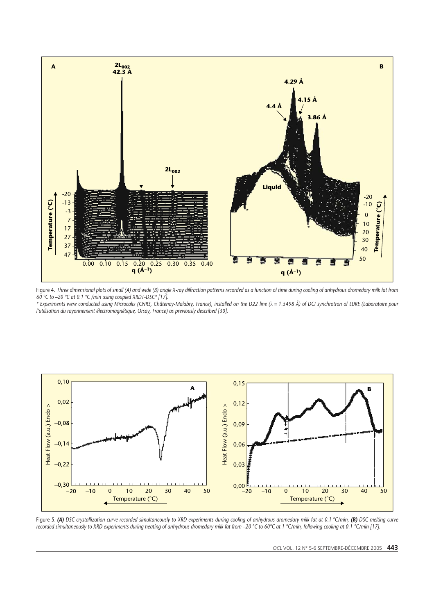

Figure 4. *Three dimensional plots of small (A) and wide (B) angle X-ray diffraction patterns recorded as a function of time during cooling of anhydrous dromedary milk fat from 60 °C to –20 °C at 0.1 °C /min using coupled XRDT-DSC\* [17].*

*\* Experiments were conducted using Microcalix (CNRS, Châtenay-Malabry, France), installed on the D22 line (k = 1.5498 Å) of DCI synchrotron of LURE (Laboratoire pour l'utilisation du rayonnement électromagnétique, Orsay, France) as previously described [30].*



Figure 5. *(A) DSC crystallization curve recorded simultaneously to XRD experiments during cooling of anhydrous dromedary milk fat at 0.1 °C/min, (B) DSC melting curve recorded simultaneously to XRD experiments during heating of anhydrous dromedary milk fat from –20 °C to 60°C at 1 °C/min, following cooling at 0.1 °C/min [17].*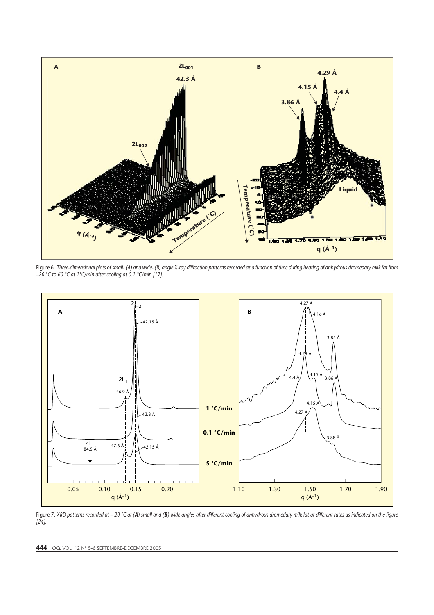

Figure 6. *Three-dimensional plots of small- (A) and wide- (B) angle X-ray diffraction patterns recorded as a function of time during heating of anhydrous dromedary milk fat from –20 °C to 60 °C at 1°C/min after cooling at 0.1 °C/min [17].*



Figure 7. *XRD patterns recorded at – 20 °C at (A) small and (B) wide angles after different cooling of anhydrous dromedary milk fat at different rates as indicated on the figure [24].*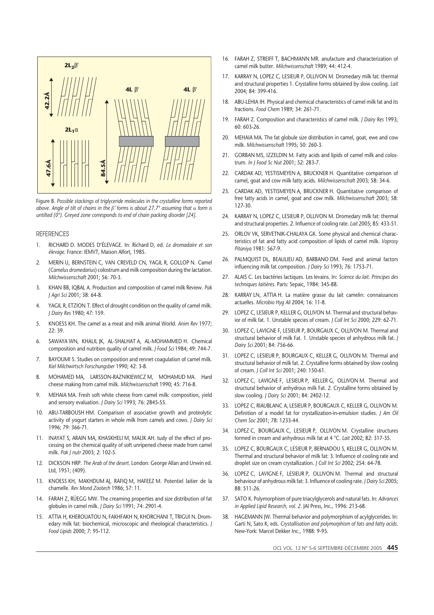

Figure 8. *Possible stackings of triglyceride molecules in the crystalline forms reported above. Angle of tilt of chains in the b' forms is about 27.7° assuming that form is untilted (0°). Greyed zone corresponds to end of chain packing disorder [24].*

#### **REFERENCES**

- 1. RICHARD D. MODES D'ÉLEVAGE. In: Richard D, ed. *Le dromadaire et son élevage*. France: IEMVT, Maison Alfort, 1985.
- 2. MERIN U, BERNSTEIN C, VAN CREVELD CN, YAGIL R, GOLLOP N. Camel (*Camelus dromedarius*) colostrum and milk composition during the lactation. *Milchwissenschaft* 2001; 56: 70-3.
- 3. KHAN BB, IQBAL A. Production and composition of camel milk Review. *Pak J Agri Sci* 2001; 38: 64-8.
- 4. YAGIL R, ETZION T. Effect of drought condition on the quality of camel milk. *J Dairy Res* 1980; 47: 159.
- 5. KNOESS KH. The camel as a meat and milk animal World. *Anim Rev* 1977;  $22.39$
- 6. SAWAYA WN, KHALIL JK, AL-SHALHAT A, AL-MOHAMMED H. Chemical composition and nutrition quality of camel milk. *J Food Sci* 1984; 49: 744-7.
- 7. BAYOUMI S. Studies on composition and rennet coagulation of camel milk. *Kiel Milchwirtsch Forschungsber* 1990; 42: 3-8.
- 8. MOHAMED MA, LARSSON-RAZNIKIEWICZ M, MOHAMUD MA. Hard cheese making from camel milk. *Milchwissenschaft* 1990; 45: 716-8.
- 9. MEHAIA MA. Fresh soft white cheese from camel milk: composition, yield and sensory evaluation. *J Dairy Sci* 1993; 76: 2845-55.
- 10. ABU-TARBOUSH HM. Comparison of associative growth and proteolytic activity of yogurt starters in whole milk from camels and cows. *J Dairy Sci* 1996; 79: 366-71.
- 11. INAYAT S, ARAIN MA, KHASKHELI M, MALIK AH. tudy of the effect of processing on the chemical quality of soft unripened cheese made from camel milk. *Pak J nutr* 2003; 2: 102-5.
- 12. DICKSON HRP. *The Arab of the desert*. London: George Allan and Unwin ed. Ltd, 1951; (409).
- 13. KNOESS KH, MAKHDUM AJ, RAFIQ M, HAFEEZ M. Potentiel laitier de la chamelle. *Rev Mond Zootech* 1986; 57: 11.
- 14. FARAH Z, RÜEGG MW. The creaming properties and size distribution of fat globules in camel milk. *J Dairy Sci* 1991; 74: 2901-4.
- 15. ATTIA H, KHEROUATOU N, FAKHFAKH N, KHORCHANI T, TRIGUI N. Dromedary milk fat: biochemical, microscopic and rheological characteristics. *J Food Lipids* 2000; 7: 95-112.
- 16. FARAH Z, STREIFF T, BACHMANN MR. anufacture and characterization of camel milk butter. *Milchwissenschaft* 1989; 44: 412-4.
- 17. KARRAY N, LOPEZ C, LESIEUR P, OLLIVON M. Dromedary milk fat: thermal and structural properties 1. Crystalline forms obtained by slow cooling. *Lait* 2004; 84: 399-416.
- 18. ABU-LEHIA IH. Physical and chemical characteristics of camel milk fat and its fractions. *Food Chem* 1989; 34: 261-71.
- 19. FARAH Z. Composition and characteristics of camel milk. *J Dairy Res* 1993; 60: 603-26.
- 20. MEHAIA MA. The fat globule size distribution in camel, goat, ewe and cow milk. *Milchwissenschaft* 1995; 50: 260-3.
- 21. GORBAN MS, IZZELDIN M. Fatty acids and lipids of camel milk and colostrum. *In J Food Sc Nut* 2001; 52: 283-7.
- 22. CARDAK AD, YESTISMEYEN A, BRUCKNER H. Quantitative comparison of camel, goat and cow milk fatty acids. *Milchwissenschaft* 2003; 58: 34-6.
- 23. CARDAK AD, YESTISMEYEN A, BRUCKNER H. Quantitative comparison of free fatty acids in camel, goat and cow milk. *Milchwissenschaft* 2003; 58: 127-30.
- 24. KARRAY N, LOPEZ C, LESIEUR P, OLLIVON M. Dromedary milk fat: thermal and structural properties. 2. Influence of cooling rate. *Lait* 2005; 85: 433-51.
- 25. ORLOV VK, SERVETNIK-CHALAYA GK. Some physical and chemical characteristics of fat and fatty acid composition of lipids of camel milk. *Voprosy Pitaniya* 1981: 567-9.
- 26. PALMQUIST DL, BEAULIEU AD, BARBANO DM. Feed and animal factors influencing milk fat composition. *J Dairy Sci* 1993; 76: 1753-71.
- 27. ALAIS C. Les bactéries lactiques. Les levains. In: *Science du lait. Principes des techniques laitières*. Paris: Sepaic, 1984: 345-88.
- 28. KARRAY LN, ATTIA H. La matière grasse du lait camelin: connaissances actuelles. *Microbio Hyg Ali* 2004; 16: 11-8.
- 29. LOPEZ C, LESIEUR P, KELLER G, OLLIVON M. Thermal and structural behavior of milk fat. 1. Unstable species of cream. *J Coll Int Sci* 2000; 229: 62-71.
- 30. LOPEZ C, LAVIGNE F, LESIEUR P, BOURGAUX C, OLLIVON M. Thermal and structural behavior of milk Fat. 1. Unstable species of anhydrous milk fat. *J Dairy Sci* 2001; 84: 756-66.
- 31. LOPEZ C, LESIEUR P, BOURGAUX C, KELLER G, OLLIVON M. Thermal and structural behavior of milk fat. 2. Crystalline forms obtained by slow cooling of cream. *J Coll Int Sci* 2001; 240: 150-61.
- 32. LOPEZ C, LAVIGNE F, LESIEUR P, KELLER G, OLLIVON M. Thermal and structural behavior of anhydrous milk Fat. 2. Crystalline forms obtained by slow cooling. *J Dairy Sci* 2001; 84: 2402-12.
- 33. LOPEZ C, RIAUBLANC A, LESIEUR P, BOURGAUX C, KELLER G, OLLIVON M. Definition of a model fat for crystallization-in-emulsion studies. *J Am Oil Chem Soc* 2001; 78: 1233-44.
- 34. LOPEZ C, BOURGAUX C, LESIEUR P, OLLIVON M. Crystalline structures formed in cream and anhydrous milk fat at 4 °C. *Lait* 2002; 82: 317-35.
- 35. LOPEZ C, BOURGAUX C, LESIEUR P, BERNADOU S, KELLER G, OLLIVON M. Thermal and structural behavior of milk fat: 3. Influence of cooling rate and droplet size on cream crystallization. *J Coll Int Sci* 2002; 254: 64-78.
- 36. LOPEZ C, LAVIGNE F, LESIEUR P, OLLIVON M. Thermal and structural behaviour of anhydrous milk fat: 3. Influence of cooling rate. *J Dairy Sci* 2005; 88: 511-26.
- 37. SATO K. Polymorphism of pure triacylglycerols and natural fats. In: *Advances in Applied Lipid Research, vol. 2*. JAI Press, Inc., 1996: 213-68.
- 38. HAGEMANN JW. Thermal behavior and polymorphism of acylglycerides. In: Garti N, Sato K, eds. *Crystallisation and polymorphism of fats and fatty acids*. New-York: Marcel Dekker Inc., 1988: 9-95.

*OCL* VOL. 12 N° 5-6 SEPTEMBRE-DE´CEMBRE 2005 **445**